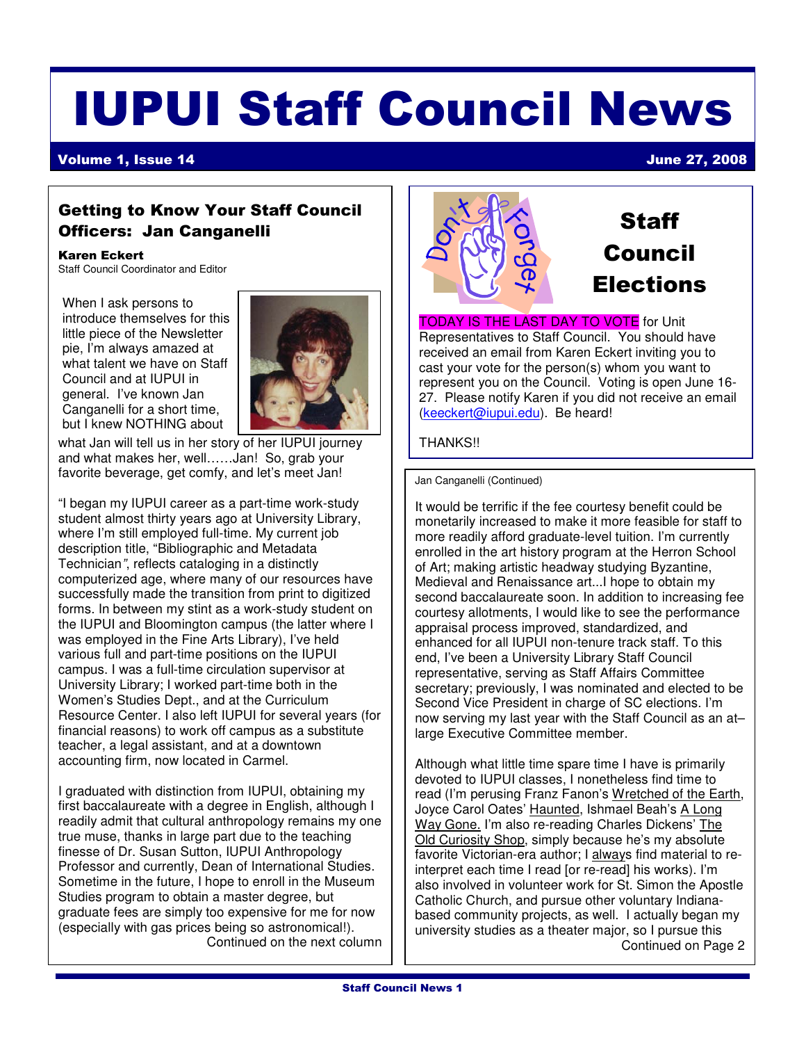### IUPUI Staff Council News

Volume 1, Issue 14 June 27, 2008

#### Getting to Know Your Staff Council Officers: Jan Canganelli

#### Karen Eckert

Staff Council Coordinator and Editor

When I ask persons to introduce themselves for this little piece of the Newsletter pie, I'm always amazed at what talent we have on Staff Council and at IUPUI in general. I've known Jan Canganelli for a short time. but I knew NOTHING about



what Jan will tell us in her story of her IUPUI journey and what makes her, well……Jan! So, grab your favorite beverage, get comfy, and let's meet Jan!

"I began my IUPUI career as a part-time work-study student almost thirty years ago at University Library, where I'm still employed full-time. My current job description title, "Bibliographic and Metadata Technician", reflects cataloging in a distinctly computerized age, where many of our resources have successfully made the transition from print to digitized forms. In between my stint as a work-study student on the IUPUI and Bloomington campus (the latter where I was employed in the Fine Arts Library), I've held various full and part-time positions on the IUPUI campus. I was a full-time circulation supervisor at University Library; I worked part-time both in the Women's Studies Dept., and at the Curriculum Resource Center. I also left IUPUI for several years (for financial reasons) to work off campus as a substitute teacher, a legal assistant, and at a downtown accounting firm, now located in Carmel.

I graduated with distinction from IUPUI, obtaining my first baccalaureate with a degree in English, although I readily admit that cultural anthropology remains my one true muse, thanks in large part due to the teaching finesse of Dr. Susan Sutton, IUPUI Anthropology Professor and currently, Dean of International Studies. Sometime in the future, I hope to enroll in the Museum Studies program to obtain a master degree, but graduate fees are simply too expensive for me for now (especially with gas prices being so astronomical!). Continued on the next column



#### **Staff** Council Elections

TODAY IS THE LAST DAY TO VOTE for Unit Representatives to Staff Council. You should have received an email from Karen Eckert inviting you to cast your vote for the person(s) whom you want to represent you on the Council. Voting is open June 16- 27. Please notify Karen if you did not receive an email (keeckert@iupui.edu). Be heard!

#### THANKS!!

Jan Canganelli (Continued)

It would be terrific if the fee courtesy benefit could be monetarily increased to make it more feasible for staff to more readily afford graduate-level tuition. I'm currently enrolled in the art history program at the Herron School of Art; making artistic headway studying Byzantine, Medieval and Renaissance art...I hope to obtain my second baccalaureate soon. In addition to increasing fee courtesy allotments, I would like to see the performance appraisal process improved, standardized, and enhanced for all IUPUI non-tenure track staff. To this end, I've been a University Library Staff Council representative, serving as Staff Affairs Committee secretary; previously, I was nominated and elected to be Second Vice President in charge of SC elections. I'm now serving my last year with the Staff Council as an at– large Executive Committee member.

Although what little time spare time I have is primarily devoted to IUPUI classes, I nonetheless find time to read (I'm perusing Franz Fanon's Wretched of the Earth, Joyce Carol Oates' Haunted, Ishmael Beah's A Long Way Gone. I'm also re-reading Charles Dickens' The Old Curiosity Shop, simply because he's my absolute favorite Victorian-era author; I always find material to reinterpret each time I read [or re-read] his works). I'm also involved in volunteer work for St. Simon the Apostle Catholic Church, and pursue other voluntary Indianabased community projects, as well. I actually began my university studies as a theater major, so I pursue this Continued on Page 2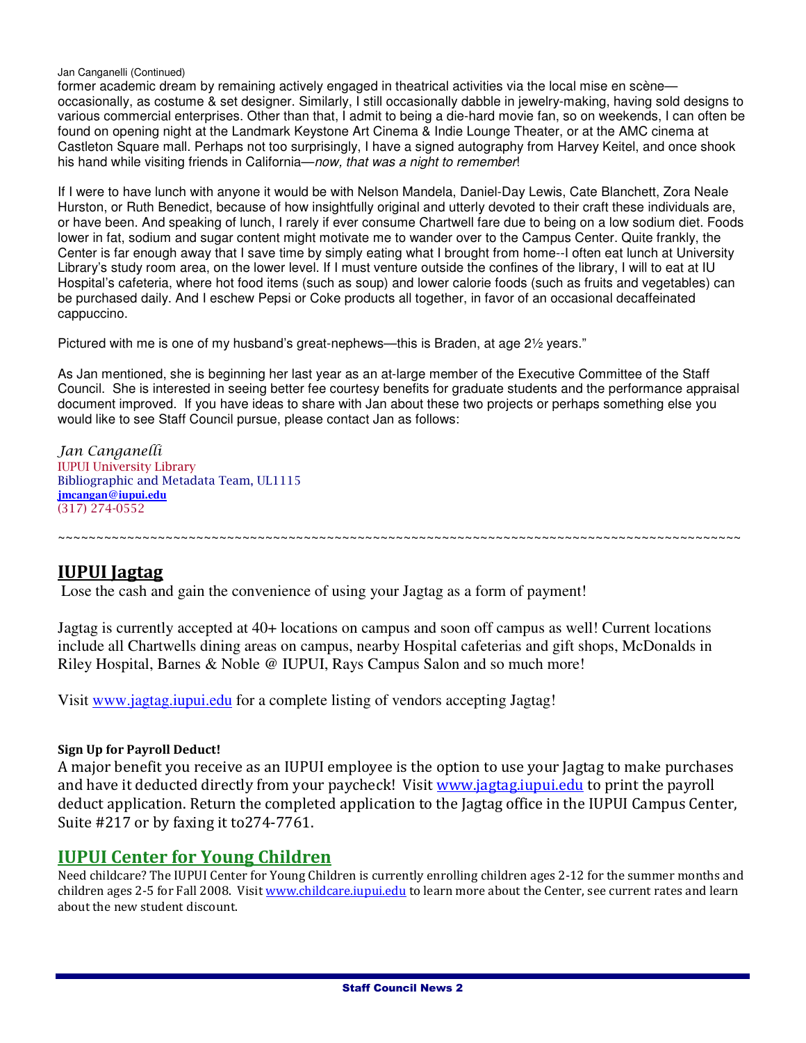#### Jan Canganelli (Continued)

former academic dream by remaining actively engaged in theatrical activities via the local mise en scène occasionally, as costume & set designer. Similarly, I still occasionally dabble in jewelry-making, having sold designs to various commercial enterprises. Other than that, I admit to being a die-hard movie fan, so on weekends, I can often be found on opening night at the Landmark Keystone Art Cinema & Indie Lounge Theater, or at the AMC cinema at Castleton Square mall. Perhaps not too surprisingly, I have a signed autography from Harvey Keitel, and once shook his hand while visiting friends in California—now, that was a night to remember!

If I were to have lunch with anyone it would be with Nelson Mandela, Daniel-Day Lewis, Cate Blanchett, Zora Neale Hurston, or Ruth Benedict, because of how insightfully original and utterly devoted to their craft these individuals are, or have been. And speaking of lunch, I rarely if ever consume Chartwell fare due to being on a low sodium diet. Foods lower in fat, sodium and sugar content might motivate me to wander over to the Campus Center. Quite frankly, the Center is far enough away that I save time by simply eating what I brought from home--I often eat lunch at University Library's study room area, on the lower level. If I must venture outside the confines of the library, I will to eat at IU Hospital's cafeteria, where hot food items (such as soup) and lower calorie foods (such as fruits and vegetables) can be purchased daily. And I eschew Pepsi or Coke products all together, in favor of an occasional decaffeinated cappuccino.

Pictured with me is one of my husband's great-nephews—this is Braden, at age 2½ years."

As Jan mentioned, she is beginning her last year as an at-large member of the Executive Committee of the Staff Council. She is interested in seeing better fee courtesy benefits for graduate students and the performance appraisal document improved. If you have ideas to share with Jan about these two projects or perhaps something else you would like to see Staff Council pursue, please contact Jan as follows:

Jan Canganelli IUPUI University Library Bibliographic and Metadata Team, UL1115 **jmcangan@iupui.edu** (317) 274-0552

~~~~~~~~~~~~~~~~~~~~~~~~~~~~~~~~~~~~~~~~~~~~~~~~~~~~~~~~~~~~~~~~~~~~~~~~~~~~~~~~~~~~~~~~~

#### IUPUI Jagtag

Lose the cash and gain the convenience of using your Jagtag as a form of payment!

Jagtag is currently accepted at 40+ locations on campus and soon off campus as well! Current locations include all Chartwells dining areas on campus, nearby Hospital cafeterias and gift shops, McDonalds in Riley Hospital, Barnes & Noble @ IUPUI, Rays Campus Salon and so much more!

Visit www.jagtag.iupui.edu for a complete listing of vendors accepting Jagtag!

#### Sign Up for Payroll Deduct!

A major benefit you receive as an IUPUI employee is the option to use your Jagtag to make purchases and have it deducted directly from your paycheck! Visit www.jagtag.iupui.edu to print the payroll deduct application. Return the completed application to the Jagtag office in the IUPUI Campus Center, Suite #217 or by faxing it to274-7761.

#### IUPUI Center for Young Children

Need childcare? The IUPUI Center for Young Children is currently enrolling children ages 2-12 for the summer months and children ages 2-5 for Fall 2008. Visit www.childcare.iupui.edu to learn more about the Center, see current rates and learn about the new student discount.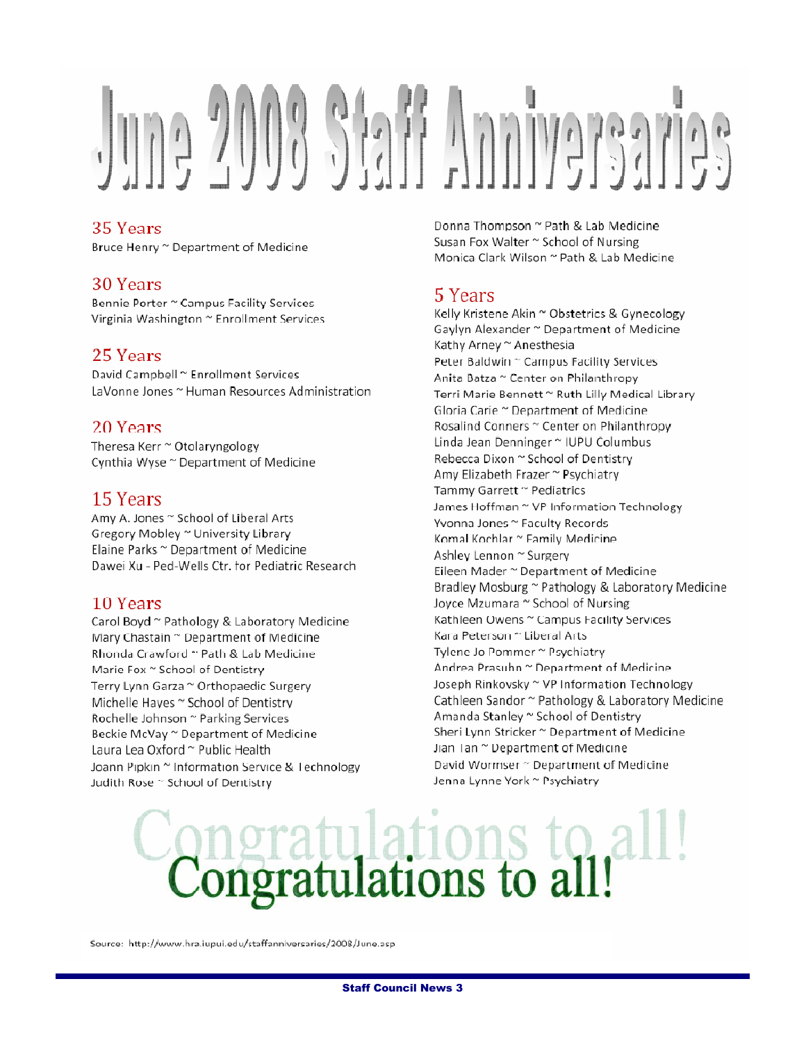# 

#### 35 Years

Bruce Henry ~ Department of Medicine

#### 30 Years

Bennie Porter ~ Campus Facility Services Virginia Washington ~ Enrollment Services

#### 25 Years

David Campbell ~ Enrollment Services LaVonne Jones ~ Human Resources Administration

#### 20 Years

Theresa Kerr ~ Otolaryngology Cynthia Wyse ~ Department of Medicine

#### 15 Years

Amy A. Jones ~ School of Liberal Arts Gregory Mobley ~ University Library Elaine Parks ~ Department of Medicine Dawei Xu - Ped-Wells Ctr. for Pediatric Research

#### 10 Years

Carol Boyd ~ Pathology & Laboratory Medicine Mary Chastain ~ Department of Medicine Rhonda Crawford ~ Path & Lab Medicine Marie Fox ~ School of Dentistry Terry Lynn Garza ~ Orthopaedic Surgery Michelle Hayes ~ School of Dentistry Rochelle Johnson ~ Parking Services Beckie McVay ~ Department of Medicine Laura Lea Oxford ~ Public Health Joann Pipkin ~ Information Service & Technology Judith Rose ~ School of Dentistry

Donna Thompson ~ Path & Lab Medicine Susan Fox Walter ~ School of Nursing Monica Clark Wilson ~ Path & Lab Medicine

#### 5 Years

Kelly Kristene Akin ~ Obstetrics & Gynecology Gaylyn Alexander ~ Department of Medicine Kathy Arney ~ Anesthesia Peter Baldwin ~ Campus Facility Services Anita Batza ~ Center on Philanthropy Terri Marie Bennett ~ Ruth Lilly Medical Library Gloria Carie ~ Department of Medicine Rosalind Conners ~ Center on Philanthropy Linda Jean Denninger ~ IUPU Columbus Rebecca Dixon ~ School of Dentistry Amy Elizabeth Frazer ~ Psychiatry Tammy Garrett ~ Pediatrics James Hoffman ~ VP Information Technology Yvonna Jones ~ Faculty Records Komal Kochlar ~ Family Medicine Ashley Lennon ~ Surgery Eileen Mader ~ Department of Medicine Bradley Mosburg ~ Pathology & Laboratory Medicine Joyce Mzumara ~ School of Nursing Kathleen Owens ~ Campus Facility Services Kara Peterson ~ Liberal Arts Tylene Jo Pommer ~ Psychiatry Andrea Prasuhn ~ Department of Medicine Joseph Rinkovsky ~ VP Information Technology Cathleen Sandor ~ Pathology & Laboratory Medicine Amanda Stanley ~ School of Dentistry Sheri Lynn Stricker ~ Department of Medicine Jian Tan ~ Department of Medicine David Wormser ~ Department of Medicine Jenna Lynne York ~ Psychiatry

# atulations to<br>atulations to a

Source: http://www.hra.iupui.edu/staffanniversaries/2008/June.asp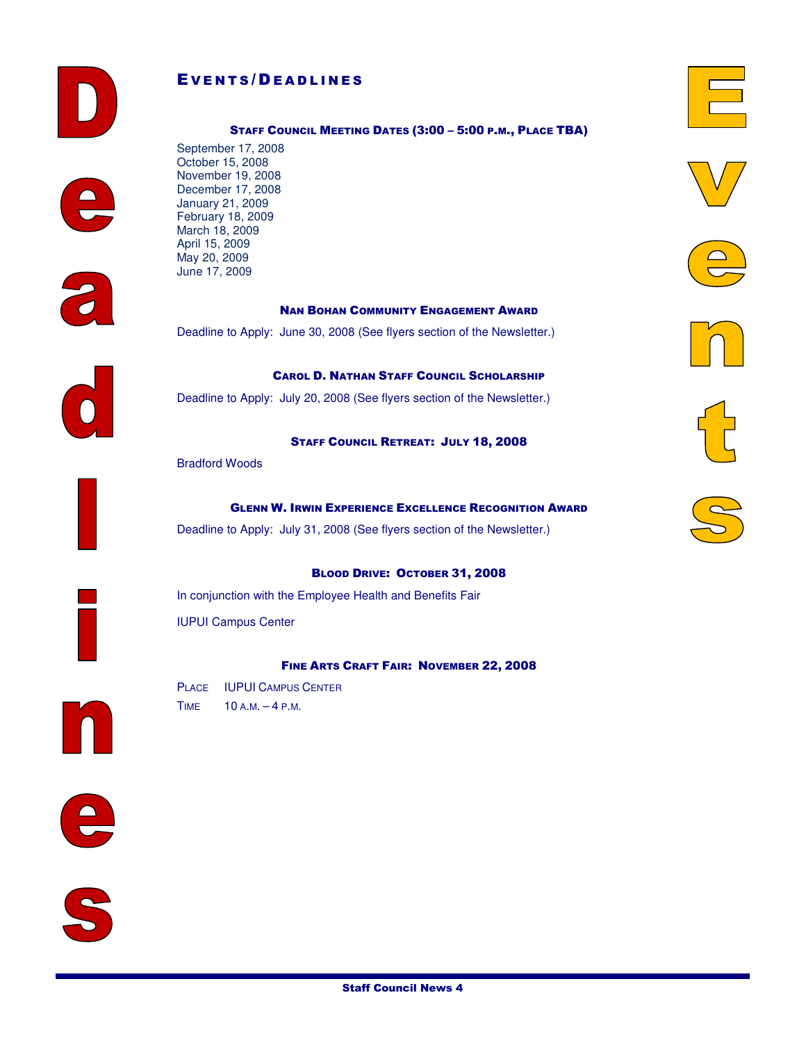



#### STAFF COUNCIL MEETING DATES (3:00 – 5:00 P.M., PLACE TBA)

















NAN BOHAN COMMUNITY ENGAGEMENT AWARD

Deadline to Apply: June 30, 2008 (See flyers section of the Newsletter.)





STAFF COUNCIL RETREAT: JULY 18, 2008

CAROL D. NATHAN STAFF COUNCIL SCHOLARSHIP

Bradford Woods

March 18, 2009 April 15, 2009 May 20, 2009 June 17, 2009

#### GLENN W. IRWIN EXPERIENCE EXCELLENCE RECOGNITION AWARD

Deadline to Apply: July 31, 2008 (See flyers section of the Newsletter.)

#### BLOOD DRIVE: OCTOBER 31, 2008

In conjunction with the Employee Health and Benefits Fair IUPUI Campus Center

#### FINE ARTS CRAFT FAIR: NOVEMBER 22, 2008

PLACE IUPUI CAMPUS CENTER TIME 10 A.M. – 4 P.M.

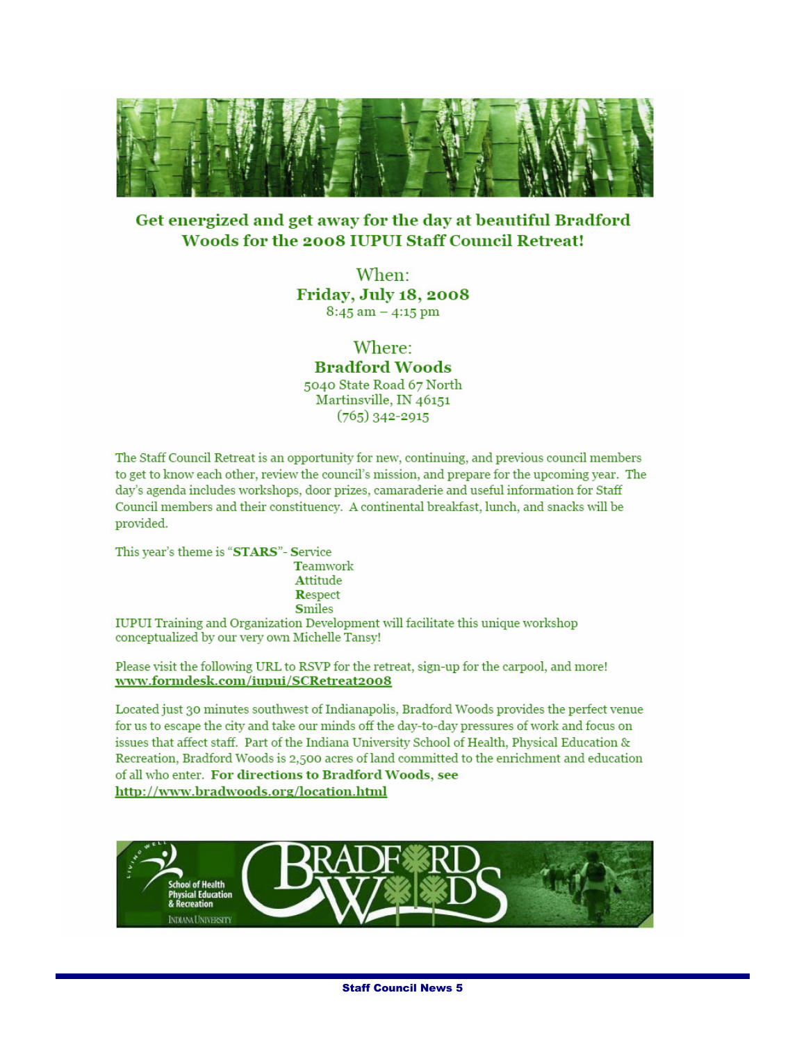

#### Get energized and get away for the day at beautiful Bradford Woods for the 2008 IUPUI Staff Council Retreat!

When: **Friday, July 18, 2008**  $8:45$  am  $-4:15$  pm

#### Where:

**Bradford Woods** 5040 State Road 67 North Martinsville, IN 46151  $(765)$  342-2915

The Staff Council Retreat is an opportunity for new, continuing, and previous council members to get to know each other, review the council's mission, and prepare for the upcoming year. The day's agenda includes workshops, door prizes, camaraderie and useful information for Staff Council members and their constituency. A continental breakfast, lunch, and snacks will be provided.

This year's theme is "STARS"- Service

Teamwork Attitude Respect **Smiles** 

IUPUI Training and Organization Development will facilitate this unique workshop conceptualized by our very own Michelle Tansy!

Please visit the following URL to RSVP for the retreat, sign-up for the carpool, and more! www.formdesk.com/iupui/SCRetreat2008

Located just 30 minutes southwest of Indianapolis, Bradford Woods provides the perfect venue for us to escape the city and take our minds off the day-to-day pressures of work and focus on issues that affect staff. Part of the Indiana University School of Health, Physical Education & Recreation, Bradford Woods is 2,500 acres of land committed to the enrichment and education of all who enter. For directions to Bradford Woods, see http://www.bradwoods.org/location.html

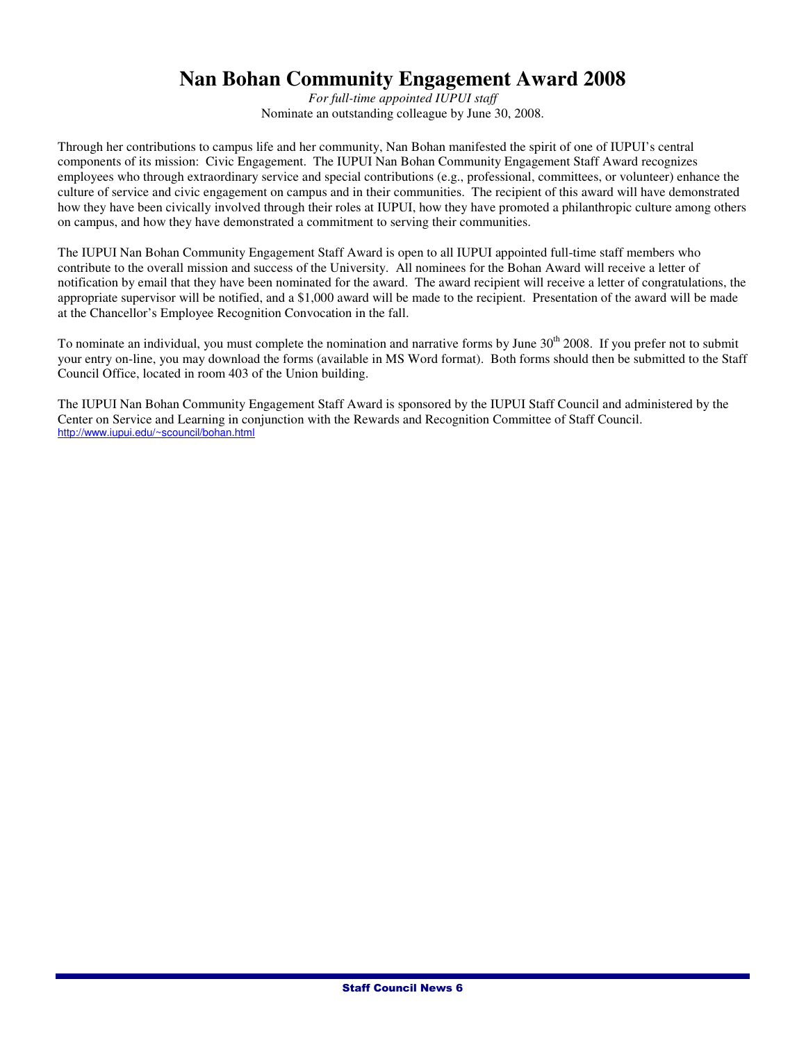#### **Nan Bohan Community Engagement Award 2008**

*For full-time appointed IUPUI staff*  Nominate an outstanding colleague by June 30, 2008.

Through her contributions to campus life and her community, Nan Bohan manifested the spirit of one of IUPUI's central components of its mission: Civic Engagement. The IUPUI Nan Bohan Community Engagement Staff Award recognizes employees who through extraordinary service and special contributions (e.g., professional, committees, or volunteer) enhance the culture of service and civic engagement on campus and in their communities. The recipient of this award will have demonstrated how they have been civically involved through their roles at IUPUI, how they have promoted a philanthropic culture among others on campus, and how they have demonstrated a commitment to serving their communities.

The IUPUI Nan Bohan Community Engagement Staff Award is open to all IUPUI appointed full-time staff members who contribute to the overall mission and success of the University. All nominees for the Bohan Award will receive a letter of notification by email that they have been nominated for the award. The award recipient will receive a letter of congratulations, the appropriate supervisor will be notified, and a \$1,000 award will be made to the recipient. Presentation of the award will be made at the Chancellor's Employee Recognition Convocation in the fall.

To nominate an individual, you must complete the nomination and narrative forms by June 30<sup>th</sup> 2008. If you prefer not to submit your entry on-line, you may download the forms (available in MS Word format). Both forms should then be submitted to the Staff Council Office, located in room 403 of the Union building.

The IUPUI Nan Bohan Community Engagement Staff Award is sponsored by the IUPUI Staff Council and administered by the Center on Service and Learning in conjunction with the Rewards and Recognition Committee of Staff Council. http://www.iupui.edu/~scouncil/bohan.html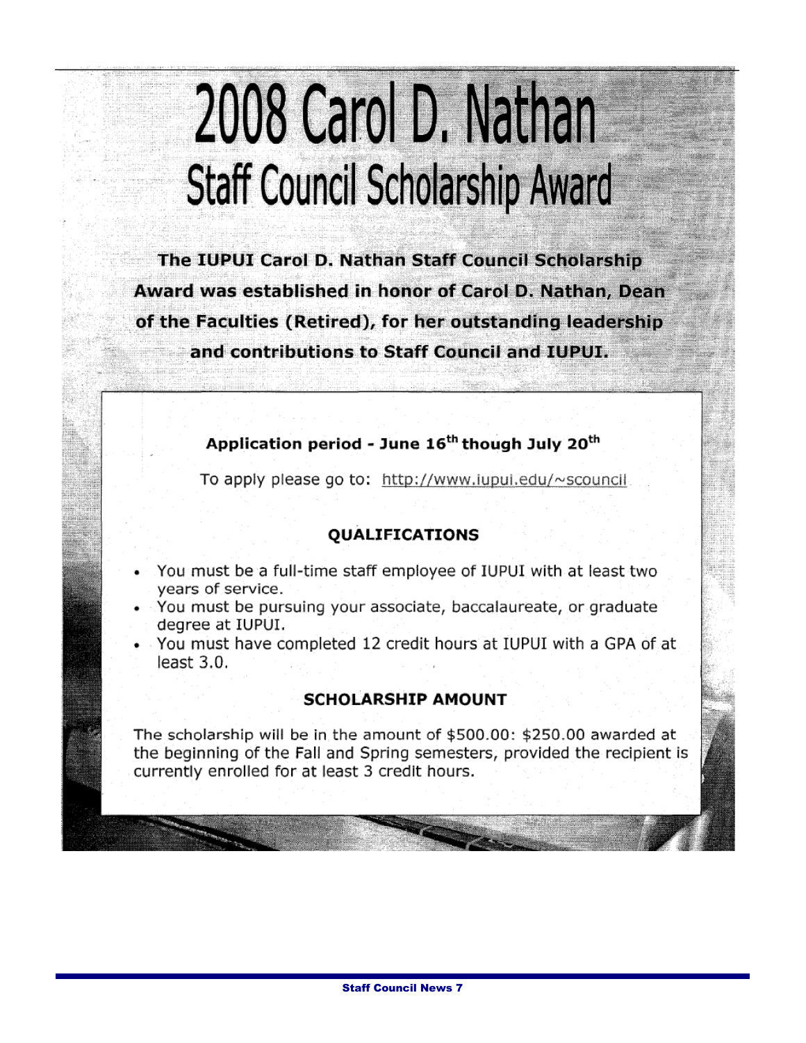## 2008 Carol D. Nathan **Staff Council Scholarship Award**

The IUPUI Carol D. Nathan Staff Council Scholarship Award was established in honor of Carol D. Nathan, Dean of the Faculties (Retired), for her outstanding leadership and contributions to Staff Council and IUPUI.

#### Application period - June 16<sup>th</sup> though July 20<sup>th</sup>

To apply please go to: http://www.iupui.edu/~scouncil

#### **QUALIFICATIONS**

- You must be a full-time staff employee of IUPUI with at least two years of service.
- You must be pursuing your associate, baccalaureate, or graduate degree at IUPUI.
- You must have completed 12 credit hours at IUPUI with a GPA of at least  $3.0$ .

#### **SCHOLARSHIP AMOUNT**

The scholarship will be in the amount of \$500.00: \$250.00 awarded at the beginning of the Fall and Spring semesters, provided the recipient is currently enrolled for at least 3 credit hours.